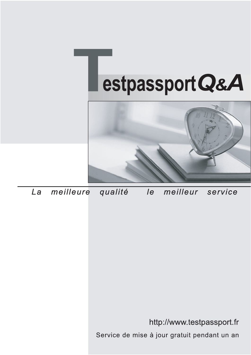



meilleure La qualité  $\overline{e}$ meilleur service

http://www.testpassport.fr

Service de mise à jour gratuit pendant un an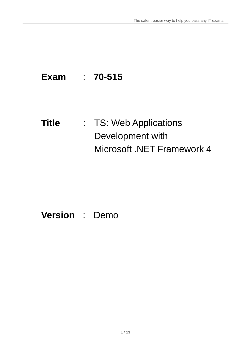# **Exam** : **70-515**

# **Title** : TS: Web Applications Development with Microsoft .NET Framework 4

# **Version** : Demo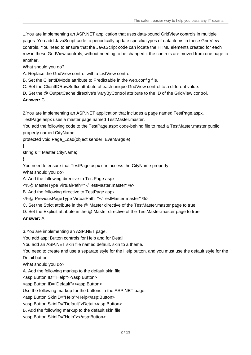1.You are implementing an ASP.NET application that uses data-bound GridView controls in multiple pages. You add JavaScript code to periodically update specific types of data items in these GridView controls. You need to ensure that the JavaScript code can locate the HTML elements created for each row in these GridView controls, without needing to be changed if the controls are moved from one page to another.

What should you do?

A. Replace the GridView control with a ListView control.

B. Set the ClientIDMode attribute to Predictable in the web.config file.

C. Set the ClientIDRowSuffix attribute of each unique GridView control to a different value.

D. Set the @ OutputCache directive's VaryByControl attribute to the ID of the GridView control.

**Answer:** C

2.You are implementing an ASP.NET application that includes a page named TestPage.aspx.

TestPage.aspx uses a master page named TestMaster.master.

You add the following code to the TestPage.aspx code-behind file to read a TestMaster.master public property named CityName.

protected void Page\_Load(object sender, EventArgs e)

 $\{$ 

string s = Master.CityName;

}

You need to ensure that TestPage.aspx can access the CityName property.

What should you do?

A. Add the following directive to TestPage.aspx.

<%@ MasterType VirtualPath="~/TestMaster.master" %>

B. Add the following directive to TestPage.aspx.

<%@ PreviousPageType VirtualPath="~/TestMaster.master" %>

C. Set the Strict attribute in the @ Master directive of the TestMaster.master page to true.

D. Set the Explicit attribute in the @ Master directive of the TestMaster.master page to true.

# **Answer:** A

3.You are implementing an ASP.NET page.

You add asp: Button controls for Help and for Detail.

You add an ASP.NET skin file named default. skin to a theme.

You need to create and use a separate style for the Help button, and you must use the default style for the Detail button.

What should you do?

A. Add the following markup to the default.skin file.

<asp:Button ID="Help"></asp:Button>

<asp:Button ID="Default"></asp:Button>

Use the following markup for the buttons in the ASP.NET page.

<asp:Button SkinID="Help">Help</asp:Button>

<asp:Button SkinID="Default">Detail</asp:Button>

B. Add the following markup to the default.skin file.

<asp:Button SkinID="Help"></asp:Button>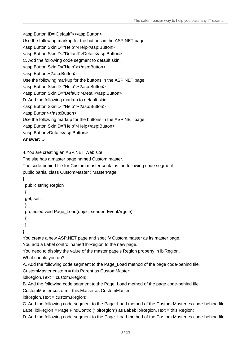```
<asp:Button ID="Default"></asp:Button>
```

```
Use the following markup for the buttons in the ASP.NET page.
```

```
<asp:Button SkinID="Help">Help</asp:Button>
```

```
<asp:Button SkinID="Default">Detail</asp:Button>
```
C. Add the following code segment to default.skin.

```
<asp:Button SkinID="Help"></asp:Button>
```

```
<asp:Button></asp:Button>
```
Use the following markup for the buttons in the ASP.NET page.

```
<asp:Button SkinID="Help"></asp:Button>
```
<asp:Button SkinID="Default">Detail</asp:Button>

```
D. Add the following markup to default.skin.
```
<asp:Button SkinID="Help"></asp:Button>

```
<asp:Button></asp:Button>
```
Use the following markup for the buttons in the ASP.NET page.

```
<asp:Button SkinID="Help">Help</asp:Button>
```

```
<asp:Button>Detail</asp:Button>
```

```
Answer: D
```

```
4.You are creating an ASP.NET Web site.
```
The site has a master page named Custom.master.

```
The code-behind file for Custom.master contains the following code segment.
```

```
public partial class CustomMaster : MasterPage
```

```
\{
```

```
public string Region
```
 $\{$ 

```
get; set;
```

```
}
```
protected void Page\_Load(object sender, EventArgs e)

 $\{$ 

}

}

You create a new ASP.NET page and specify Custom.master as its master page.

You add a Label control named lblRegion to the new page.

You need to display the value of the master page's Region property in lblRegion.

What should you do?

A. Add the following code segment to the Page\_Load method of the page code-behind file.

CustomMaster custom = this.Parent as CustomMaster;

lblRegion.Text = custom.Region;

B. Add the following code segment to the Page Load method of the page code-behind file.

CustomMaster custom = this.Master as CustomMaster;

lblRegion.Text = custom.Region;

C. Add the following code segment to the Page\_Load method of the Custom.Master.cs code-behind file.

Label IblRegion = Page.FindControl("IblRegion") as Label; IblRegion.Text = this.Region;

D. Add the following code segment to the Page Load method of the Custom.Master.cs code-behind file.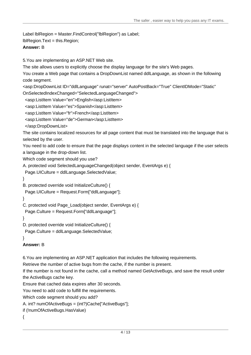```
Label lblRegion = Master.FindControl("lblRegion") as Label;
```

```
lblRegion.Text = this.Region;
```
#### **Answer:** B

5.You are implementing an ASP.NET Web site.

The site allows users to explicitly choose the display language for the site's Web pages.

You create a Web page that contains a DropDownList named ddlLanguage, as shown in the following code segment. The contract of the contract of the contract of the contract of the contract of the contract of the contract of the contract of the contract of the contract of the contract of the contract of the contract of

```
<asp:DropDownList ID="ddlLanguage" runat="server" AutoPostBack="True" ClientIDMode="Static"
```

```
OnSelectedIndexChanged="SelectedLanguageChanged">
```

```
<asp:ListItem Value="en">English</asp:ListItem>
```

```
<asp:ListItem Value="es">Spanish</asp:ListItem>
```

```
<asp:ListItem Value="fr">French</asp:ListItem>
```

```
<asp:ListItem Value="de">German</asp:ListItem>
```

```
</asp:DropDownList>
```
The site contains localized resources for all page content that must be translated into the language that is selected by the user.

You need to add code to ensure that the page displays content in the selected language if the user selects a language in the drop-down list.

Which code segment should you use?

```
A. protected void SelectedLanguageChanged(object sender, EventArgs e) {
```

```
Page.UICulture = ddlLanguage.SelectedValue;
```

```
}
B. protected override void InitializeCulture() {
```

```
Page.UICulture = Request.Form["ddlLanguage"];
```

```
}
```

```
C. protected void Page_Load(object sender, EventArgs e) {
```

```
Page.Culture = Request.Form["ddlLanguage"];
```

```
}
```

```
D. protected override void InitializeCulture() {
```
Page.Culture = ddlLanguage.SelectedValue;

```
}
```
**Answer:** B

6.You are implementing an ASP.NET application that includes the following requirements.

Retrieve the number of active bugs from the cache, if the number is present.

```
If the number is not found in the cache, call a method named GetActiveBugs, and save the result under 
the ActiveBugs cache key.
```
Ensure that cached data expires after 30 seconds.

You need to add code to fulfill the requirements.

Which code segment should you add?

A. int? numOfActiveBugs = (int?)Cache["ActiveBugs"];

if (!numOfActiveBugs.HasValue)

```
{
```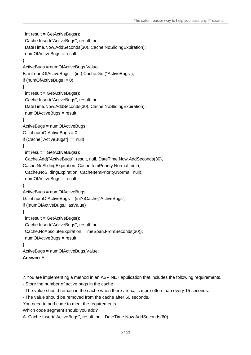```
int result = GetActiveBugs();
Cache.Insert("ActiveBugs", result, null,
DateTime.Now.AddSeconds(30), Cache.NoSlidingExpiration);
numOfActiveBugs = result;
}
ActiveBugs = numOfActiveBugs.Value;
B. int numOfActiveBugs = (int) Cache.Get("ActiveBugs"); 
if (numOfActiveBugs != 0)
\{int result = GetActiveBugs();
Cache.Insert("ActiveBugs", result, null,
DateTime.Now.AddSeconds(30), Cache.NoSlidingExpiration);
numOfActiveBugs = result;
}
ActiveBugs = numOfActiveBugs;
C. int numOfActiveBugs = 0; 
if (Cache["ActiveBugs"] == null)
\{int result = GetActiveBugs();
Cache.Add("ActiveBugs", result, null, DateTime.Now.AddSeconds(30),
Cache.NoSlidingExpiration, CacheItemPriority.Normal, null);
Cache.NoSlidingExpiration, CacheItemPriority.Normal, null);
numOfActiveBugs = result;
}
ActiveBugs = numOfActiveBugs;
D. int numOfActiveBugs = (int?)Cache["ActiveBugs"]; 
if (!numOfActiveBugs.HasValue)
\{int result = GetActiveBugs();
Cache.Insert("ActiveBugs", result, null,
Cache.NoAbsoluteExpiration, TimeSpan.FromSeconds(30));
numOfActiveBugs = result;
}
ActiveBugs = numOfActiveBugs.Value;
Answer: A
```
- 7. You are implementing a method in an ASP.NET application that includes the following requirements.<br>- Store the number of active bugs in the cache.<br>- The value should remain in the cache when there are calls more often th
- 
- 
- 
- You need to add code to meet the requirements.

```
Which code segment should you add?
```
A. Cache.Insert("ActiveBugs", result, null, DateTime.Now.AddSeconds(60),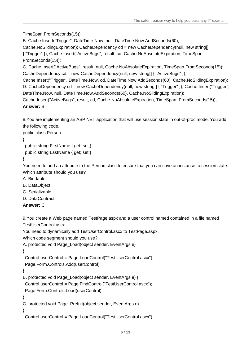TimeSpan.FromSeconds(15));

B. Cache.Insert("Trigger", DateTime.Now, null, DateTime.Now.AddSeconds(60),

Cache.NoSlidingExpiration); CacheDependency cd = new CacheDependency(null, new string[] { "Trigger" }); Cache.Insert("ActiveBugs", result, cd, Cache.NoAbsoluteExpiration, TimeSpan. FromSeconds(15));

C. Cache.Insert("ActiveBugs", result, null, Cache.NoAbsoluteExpiration, TimeSpan.FromSeconds(15)); CacheDependency cd = new CacheDependency(null, new string[] { "ActiveBugs" });

Cache.Insert("Trigger", DateTime.Now, cd, DateTime.Now.AddSeconds(60), Cache.NoSlidingExpiration); D. CacheDependency cd = new CacheDependency(null, new string[] { "Trigger" }); Cache.Insert("Trigger", DateTime.Now, null, DateTime.Now.AddSeconds(60), Cache.NoSlidingExpiration);

Cache.Insert("ActiveBugs", result, cd, Cache.NoAbsoluteExpiration, TimeSpan. FromSeconds(15)); **Answer:** B

8.You are implementing an ASP.NET application that will use session state in out-of-proc mode. You add the following code.

public class Person

 $\{$ 

public string FirstName { get; set;} public string LastName { get; set;}

}

You need to add an attribute to the Person class to ensure that you can save an instance to session state. Which attribute should you use?

- A. Bindable
- B. DataObject
- C. Serializable
- D. DataContract
- **Answer:** C

9.You create a Web page named TestPage.aspx and a user control named contained in a file named TestUserControl.ascx.

You need to dynamically add TestUserControl.ascx to TestPage.aspx.

Which code segment should you use?

```
A. protected void Page_Load(object sender, EventArgs e)
```

```
\{
```
Control userControl = Page.LoadControl("TestUserControl.ascx");

```
Page.Form.Controls.Add(userControl);
```
}

```
B. protected void Page_Load(object sender, EventArgs e) {
```
Control userControl = Page.FindControl("TestUserControl.ascx");

Page.Form.Controls.Load(userControl);

}

C. protected void Page\_PreInit(object sender, EventArgs e)

```
\{
```
Control userControl = Page.LoadControl("TestUserControl.ascx");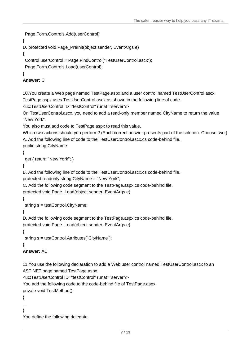```
Page.Form.Controls.Add(userControl);
```

```
}
```

```
D. protected void Page_PreInit(object sender, EventArgs e)
```
 $\{$ 

```
Control userControl = Page.FindControl("TestUserControl.ascx");
```
Page.Form.Controls.Load(userControl);

#### }

#### **Answer:** C

10.You create a Web page named TestPage.aspx and a user control named TestUserControl.ascx.

TestPage.aspx uses TestUserControl.ascx as shown in the following line of code.

```
<uc:TestUserControl ID="testControl" runat="server"/>
```
On TestUserControl.ascx, you need to add a read-only member named CityName to return the value "New York".

You also must add code to TestPage.aspx to read this value.

Which two actions should you perform? (Each correct answer presents part of the solution. Choose two.) A. Add the following line of code to the TestUserControl.ascx.cs code-behind file.

```
public string CityName
```

```
\{
```

```
get { return "New York"; }
```

```
}
```
B. Add the following line of code to the TestUserControl.ascx.cs code-behind file.

```
protected readonly string CityName = "New York";
```
C. Add the following code segment to the TestPage.aspx.cs code-behind file.

```
protected void Page_Load(object sender, EventArgs e)
```
 $\{$ 

```
string s = testControl.CityName;
```
}

D. Add the following code segment to the TestPage.aspx.cs code-behind file.

protected void Page\_Load(object sender, EventArgs e)

```
\{
```
string s = testControl.Attributes["CityName"];

```
}
```
# **Answer:** AC

11.You use the following declaration to add a Web user control named TestUserControl.ascx to an ASP.NET page named TestPage.aspx.

```
<uc:TestUserControl ID="testControl" runat="server"/>
```
You add the following code to the code-behind file of TestPage.aspx.

private void TestMethod()

 $\{$ 

```
...
```
}

You define the following delegate.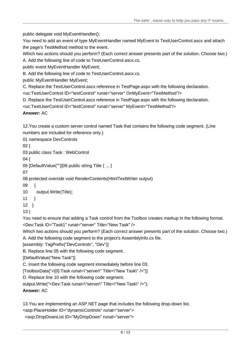public delegate void MyEventHandler();

You need to add an event of type MyEventHandler named MyEvent to TestUserControl.ascx and attach the page's TestMethod method to the event.

Which two actions should you perform? (Each correct answer presents part of the solution. Choose two.)

A. Add the following line of code to TestUserControl.ascx.cs.

public event MyEventHandler MyEvent;

B. Add the following line of code to TestUserControl.ascx.cs.

public MyEventHandler MyEvent;

C. Replace the TestUserControl.ascx reference in TestPage.aspx with the following declaration.

<uc:TestUserControl ID="testControl" runat="server" OnMyEvent="TestMethod"/>

D. Replace the TestUserControl.ascx reference in TestPage.aspx with the following declaration.

<uc:TestUserControl ID="testControl" runat="server" MyEvent="TestMethod"/>

**Answer:** AC

12.You create a custom server control named Task that contains the following code segment. (Line numbers are included for reference only.)

01 namespace DevControls

 $02\{$ 

03 public class Task : WebControl

04 {

05 [DefaultValue("")]06 public string Title { ... }

07

08 protected override void RenderContents(HtmlTextWriter output)

09 {

10 output.Write(Title);

 $11$  }

 $12$  }

 $13$  }

You need to ensure that adding a Task control from the Toolbox creates markup in the following format. <Dev:Task ID="Task1" runat="server" Title="New Task" />

Which two actions should you perform? (Each correct answer presents part of the solution. Choose two.) A. Add the following code segment to the project's AssemblyInfo.cs file.

[assembly: TagPrefix("DevControls", "Dev")]

B. Replace line 05 with the following code segment.

[DefaultValue("New Task")]

C. Insert the following code segment immediately before line 03.

[ToolboxData("<{0}:Task runat=\"server\" Title=\"New Task\" />")]

D. Replace line 10 with the following code segment.

output.Write("<Dev:Task runat=\"server\" Title=\"New Task\" />");

**Answer:** AC

13.You are implementing an ASP.NET page that includes the following drop-down list.

<asp:PlaceHolder ID="dynamicControls" runat="server">

<asp:DropDownList ID="MyDropDown" runat="server">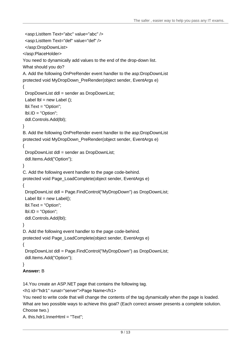```
<asp:ListItem Text="abc" value="abc" />
<asp:ListItem Text="def" value="def" />
</asp:DropDownList>
</asp:PlaceHolder>
You need to dynamically add values to the end of the drop-down list. 
What should you do? 
A. Add the following OnPreRender event handler to the asp:DropDownList 
protected void MyDropDown_PreRender(object sender, EventArgs e)
\{DropDownList ddl = sender as DropDownList;
Label Ibl = new Label ();
lbl.Text = "Option";
lbl.ID = "Option";
ddl.Controls.Add(lbl);
}
B. Add the following OnPreRender event handler to the asp:DropDownList 
protected void MyDropDown_PreRender(object sender, EventArgs e)
\{DropDownList ddl = sender as DropDownList;
ddl.Items.Add("Option");
}
C. Add the following event handler to the page code-behind. 
protected void Page_LoadComplete(object sender, EventArgs e)
\{DropDownList ddl = Page.FindControl("MyDropDown") as DropDownList;
Label Ibl = new Label();
lbl.Text = "Option";
lbl.ID = "Option";
ddl.Controls.Add(lbl);
}
D. Add the following event handler to the page code-behind. 
protected void Page_LoadComplete(object sender, EventArgs e)
\{DropDownList ddl = Page.FindControl("MyDropDown") as DropDownList;
ddl.Items.Add("Option");
}
Answer: B 
14.You create an ASP.NET page that contains the following tag. 
<h1 id="hdr1" runat="server">Page Name</h1>
You need to write code that will change the contents of the tag dynamically when the page is loaded. 
What are two possible ways to achieve this goal? (Each correct answer presents a complete solution. 
Choose two.)
```

```
A. this.hdr1.InnerHtml = "Text";
```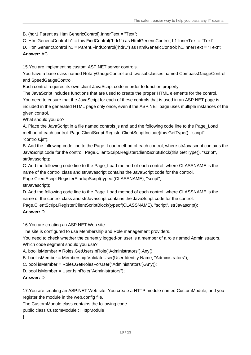B. (hdr1.Parent as HtmlGenericControl).InnerText = "Text";

```
C. HtmlGenericControl h1 = this.FindControl("hdr1") as HtmlGenericControl; h1.InnerText = "Text";
```
D. HtmlGenericControl h1 = Parent.FindControl("hdr1") as HtmlGenericControl; h1.InnerText = "Text"; **Answer:** AC

15.You are implementing custom ASP.NET server controls.

You have a base class named RotaryGaugeControl and two subclasses named CompassGaugeControl and SpeedGaugeControl.

Each control requires its own client JavaScript code in order to function properly.

The JavaScript includes functions that are used to create the proper HTML elements for the control. You need to ensure that the JavaScript for each of these controls that is used in an ASP.NET page is included in the generated HTML page only once, even if the ASP.NET page uses multiple instances of the given control.

What should you do?

A. Place the JavaScript in a file named controls.js and add the following code line to the Page\_Load method of each control. Page.ClientScript.RegisterClientScriptInclude(this.GetType(), "script", "controls.js");

B. Add the following code line to the Page Load method of each control, where strJavascript contains the JavaScript code for the control. Page.ClientScript.RegisterClientScriptBlock(this.GetType(), "script", strJavascript);

C. Add the following code line to the Page\_Load method of each control, where CLASSNAME is the name of the control class and strJavascript contains the JavaScript code for the control.

Page.ClientScript.RegisterStartupScript(typeof(CLASSNAME), "script",

strJavascript);

D. Add the following code line to the Page Load method of each control, where CLASSNAME is the name of the control class and strJavascript contains the JavaScript code for the control.

Page.ClientScript.RegisterClientScriptBlock(typeof(CLASSNAME), "script", strJavascript);

# **Answer:** D

16.You are creating an ASP.NET Web site.

The site is configured to use Membership and Role management providers.

You need to check whether the currently logged-on user is a member of a role named Administrators. Which code segment should you use?

A. bool isMember = Roles.GetUsersInRole("Administrators").Any();

B. bool isMember = Membership.ValidateUser(User.Identity.Name, "Administrators");

C. bool isMember = Roles.GetRolesForUser("Administrators").Any();

D. bool isMember = User.IsInRole("Administrators");

# **Answer:** D

17.You are creating an ASP.NET Web site. You create a HTTP module named CustomModule, and you register the module in the web.config file.

The CustomModule class contains the following code.

public class CustomModule : IHttpModule

{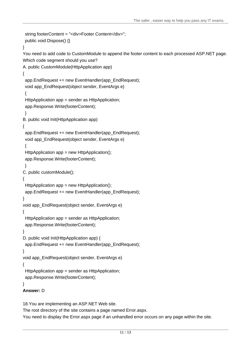```
string footerContent = "<div>Footer Content</div>";
public void Dispose() {}
}
You need to add code to CustomModule to append the footer content to each processed ASP.NET page. 
Which code segment should you use? 
A. public CustomModule(HttpApplication app) 
\{app.EndRequest += new EventHandler(app_EndRequest);
void app_EndRequest(object sender, EventArgs e)
\{HttpApplication app = sender as HttpApplication;
app.Response.Write(footerContent);
}
B. public void Init(HttpApplication app) 
\{app.EndRequest += new EventHandler(app_EndRequest);
void app_EndRequest(object sender, EventArgs e)
\{HttpApplication app = new HttpApplication();
app.Response.Write(footerContent);
}
C. public customModule(); 
\{HttpApplication app = new HttpApplication();
app.EndRequest += new EventHandler(app_EndRequest);
}
void app_EndRequest(object sender, EventArgs e)
\{HttpApplication app = sender as HttpApplication;
app.Response.Write(footerContent);
}
D. public void Init(HttpApplication app) {
app.EndRequest += new EventHandler(app_EndRequest);
}
void app_EndRequest(object sender, EventArgs e)
\{HttpApplication app = sender as HttpApplication;
app.Response.Write(footerContent);
}
Answer: D
```
18.You are implementing an ASP.NET Web site.

The root directory of the site contains a page named Error.aspx.

You need to display the Error.aspx page if an unhandled error occurs on any page within the site.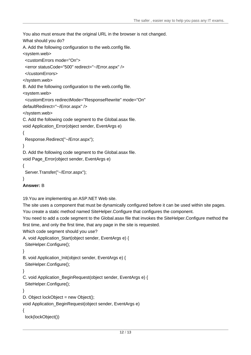```
You also must ensure that the original URL in the browser is not changed.
What should you do?
A. Add the following configuration to the web.config file. 
<system.web>
<customErrors mode="On">
<error statusCode="500" redirect="~/Error.aspx" />
</customErrors>
</system.web>
B. Add the following configuration to the web.config file. 
<system.web>
<customErrors redirectMode="ResponseRewrite" mode="On"
defaultRedirect="~/Error.aspx" />
</system.web>
C. Add the following code segment to the Global.asax file. 
void Application_Error(object sender, EventArgs e)
\{Response.Redirect("~/Error.aspx");
}
D. Add the following code segment to the Global.asax file. 
void Page_Error(object sender, EventArgs e)
\{Server.Transfer("~/Error.aspx");
}
Answer: B 
19.You are implementing an ASP.NET Web site.
The site uses a component that must be dynamically configured before it can be used within site pages.
You create a static method named SiteHelper.Configure that configures the component.
You need to add a code segment to the Global.asax file that invokes the SiteHelper.Configure method the
first time, and only the first time, that any page in the site is requested.
Which code segment should you use?
A. void Application_Start(object sender, EventArgs e) {
SiteHelper.Configure();
}
B. void Application Init(object sender, EventArgs e) {
SiteHelper.Configure();
}
C. void Application_BeginRequest(object sender, EventArgs e) {
SiteHelper.Configure();
}
D. Object lockObject = new Object();
void Application_BeginRequest(object sender, EventArgs e)
\{lock(lockObject())
```